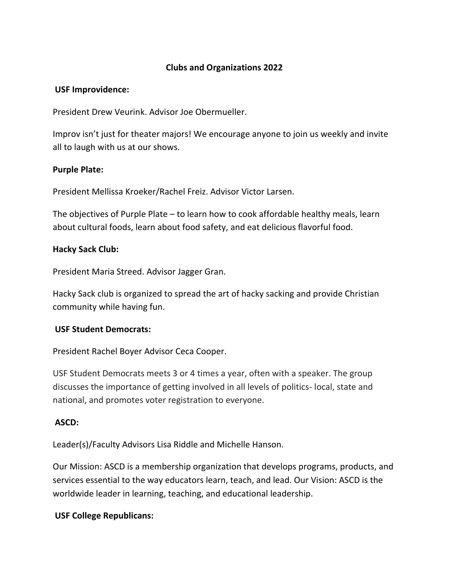## **Clubs and Organizations 2022**

#### **USF Improvidence:**

President Drew Veurink. Advisor Joe Obermueller.

Improv isn't just for theater majors! We encourage anyone to join us weekly and invite all to laugh with us at our shows.

#### **Purple Plate:**

President Mellissa Kroeker/Rachel Freiz. Advisor Victor Larsen.

The objectives of Purple Plate – to learn how to cook affordable healthy meals, learn about cultural foods, learn about food safety, and eat delicious flavorful food.

#### **Hacky Sack Club:**

President Maria Streed. Advisor Jagger Gran.

Hacky Sack club is organized to spread the art of hacky sacking and provide Christian community while having fun.

#### **USF Student Democrats:**

President Rachel Boyer Advisor Ceca Cooper.

USF Student Democrats meets 3 or 4 times a year, often with a speaker. The group discusses the importance of getting involved in all levels of politics- local, state and national, and promotes voter registration to everyone.

#### **ASCD:**

Leader(s)/Faculty Advisors Lisa Riddle and Michelle Hanson.

Our Mission: ASCD is a membership organization that develops programs, products, and services essential to the way educators learn, teach, and lead. Our Vision: ASCD is the worldwide leader in learning, teaching, and educational leadership.

### **USF College Republicans:**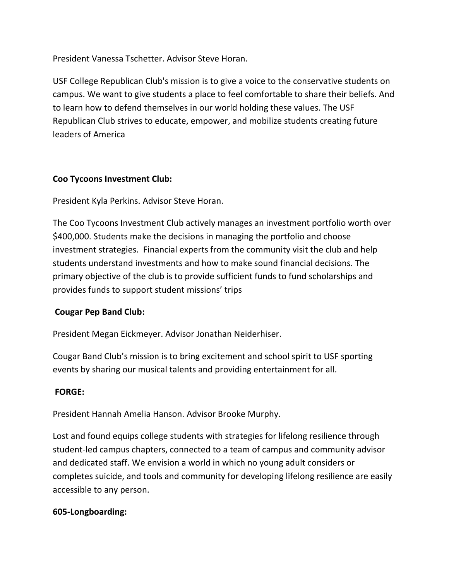President Vanessa Tschetter. Advisor Steve Horan.

USF College Republican Club's mission is to give a voice to the conservative students on campus. We want to give students a place to feel comfortable to share their beliefs. And to learn how to defend themselves in our world holding these values. The USF Republican Club strives to educate, empower, and mobilize students creating future leaders of America

## **Coo Tycoons Investment Club:**

President Kyla Perkins. Advisor Steve Horan.

The Coo Tycoons Investment Club actively manages an investment portfolio worth over \$400,000. Students make the decisions in managing the portfolio and choose investment strategies. Financial experts from the community visit the club and help students understand investments and how to make sound financial decisions. The primary objective of the club is to provide sufficient funds to fund scholarships and provides funds to support student missions' trips

# **Cougar Pep Band Club:**

President Megan Eickmeyer. Advisor Jonathan Neiderhiser.

Cougar Band Club's mission is to bring excitement and school spirit to USF sporting events by sharing our musical talents and providing entertainment for all.

# **FORGE:**

President Hannah Amelia Hanson. Advisor Brooke Murphy.

Lost and found equips college students with strategies for lifelong resilience through student-led campus chapters, connected to a team of campus and community advisor and dedicated staff. We envision a world in which no young adult considers or completes suicide, and tools and community for developing lifelong resilience are easily accessible to any person.

### **605-Longboarding:**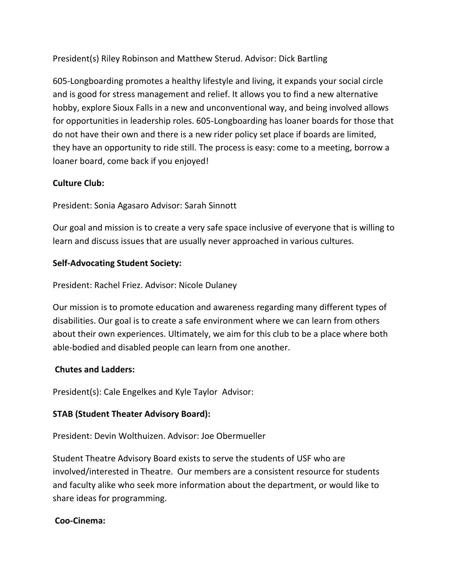President(s) Riley Robinson and Matthew Sterud. Advisor: Dick Bartling

605-Longboarding promotes a healthy lifestyle and living, it expands your social circle and is good for stress management and relief. It allows you to find a new alternative hobby, explore Sioux Falls in a new and unconventional way, and being involved allows for opportunities in leadership roles. 605-Longboarding has loaner boards for those that do not have their own and there is a new rider policy set place if boards are limited, they have an opportunity to ride still. The process is easy: come to a meeting, borrow a loaner board, come back if you enjoyed!

## **Culture Club:**

President: Sonia Agasaro Advisor: Sarah Sinnott

Our goal and mission is to create a very safe space inclusive of everyone that is willing to learn and discuss issues that are usually never approached in various cultures.

### **Self-Advocating Student Society:**

President: Rachel Friez. Advisor: Nicole Dulaney

Our mission is to promote education and awareness regarding many different types of disabilities. Our goal is to create a safe environment where we can learn from others about their own experiences. Ultimately, we aim for this club to be a place where both able-bodied and disabled people can learn from one another.

### **Chutes and Ladders:**

President(s): Cale Engelkes and Kyle Taylor Advisor:

### **STAB (Student Theater Advisory Board):**

President: Devin Wolthuizen. Advisor: Joe Obermueller

Student Theatre Advisory Board exists to serve the students of USF who are involved/interested in Theatre. Our members are a consistent resource for students and faculty alike who seek more information about the department, or would like to share ideas for programming.

### **Coo-Cinema:**